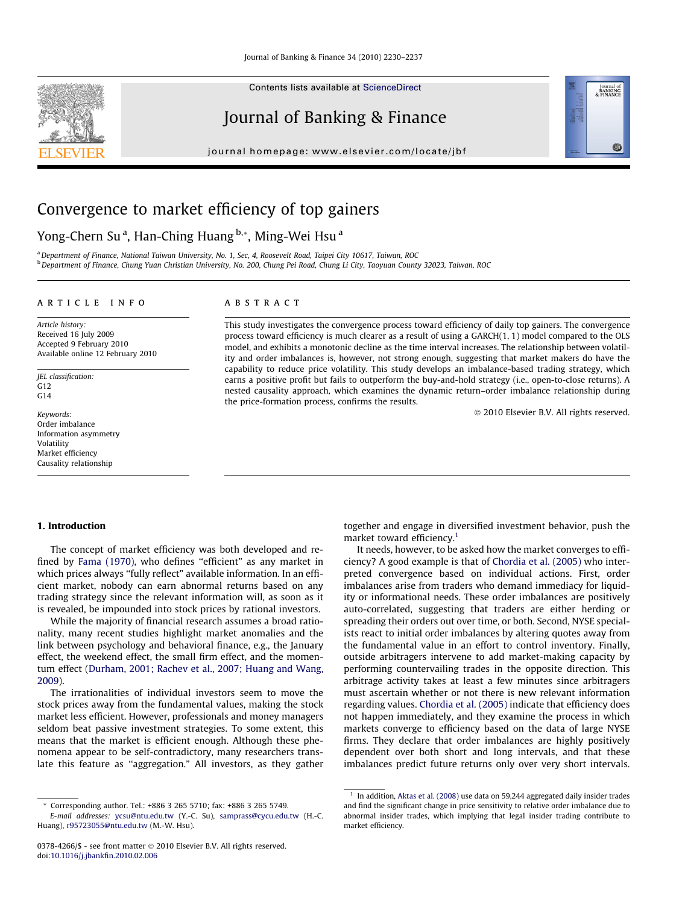Contents lists available at [ScienceDirect](http://www.sciencedirect.com/science/journal/03784266)

# Journal of Banking & Finance

journal homepage: [www.elsevier.com/locate/jbf](http://www.elsevier.com/locate/jbf)



# Convergence to market efficiency of top gainers

### Yong-Chern Su<sup>a</sup>, Han-Ching Huang <sup>b,</sup>\*, Ming-Wei Hsu<sup>a</sup>

a Department of Finance, National Taiwan University, No. 1, Sec, 4, Roosevelt Road, Taipei City 10617, Taiwan, ROC <sup>b</sup> Department of Finance, Chung Yuan Christian University, No. 200, Chung Pei Road, Chung Li City, Taoyuan County 32023, Taiwan, ROC

#### article info

Article history: Received 16 July 2009 Accepted 9 February 2010 Available online 12 February 2010

JEL classification: G12  $G14$ 

Keywords: Order imbalance Information asymmetry Volatility Market efficiency Causality relationship

#### **ARSTRACT**

This study investigates the convergence process toward efficiency of daily top gainers. The convergence process toward efficiency is much clearer as a result of using a GARCH(1, 1) model compared to the OLS model, and exhibits a monotonic decline as the time interval increases. The relationship between volatility and order imbalances is, however, not strong enough, suggesting that market makers do have the capability to reduce price volatility. This study develops an imbalance-based trading strategy, which earns a positive profit but fails to outperform the buy-and-hold strategy (i.e., open-to-close returns). A nested causality approach, which examines the dynamic return–order imbalance relationship during the price-formation process, confirms the results.

- 2010 Elsevier B.V. All rights reserved.

#### 1. Introduction

The concept of market efficiency was both developed and re-fined by [Fama \(1970\),](#page--1-0) who defines "efficient" as any market in which prices always "fully reflect" available information. In an efficient market, nobody can earn abnormal returns based on any trading strategy since the relevant information will, as soon as it is revealed, be impounded into stock prices by rational investors.

While the majority of financial research assumes a broad rationality, many recent studies highlight market anomalies and the link between psychology and behavioral finance, e.g., the January effect, the weekend effect, the small firm effect, and the momentum effect ([Durham, 2001; Rachev et al., 2007; Huang and Wang,](#page--1-0) [2009\)](#page--1-0).

The irrationalities of individual investors seem to move the stock prices away from the fundamental values, making the stock market less efficient. However, professionals and money managers seldom beat passive investment strategies. To some extent, this means that the market is efficient enough. Although these phenomena appear to be self-contradictory, many researchers translate this feature as ''aggregation." All investors, as they gather together and engage in diversified investment behavior, push the market toward efficiency.<sup>1</sup>

It needs, however, to be asked how the market converges to efficiency? A good example is that of [Chordia et al. \(2005\)](#page--1-0) who interpreted convergence based on individual actions. First, order imbalances arise from traders who demand immediacy for liquidity or informational needs. These order imbalances are positively auto-correlated, suggesting that traders are either herding or spreading their orders out over time, or both. Second, NYSE specialists react to initial order imbalances by altering quotes away from the fundamental value in an effort to control inventory. Finally, outside arbitragers intervene to add market-making capacity by performing countervailing trades in the opposite direction. This arbitrage activity takes at least a few minutes since arbitragers must ascertain whether or not there is new relevant information regarding values. [Chordia et al. \(2005\)](#page--1-0) indicate that efficiency does not happen immediately, and they examine the process in which markets converge to efficiency based on the data of large NYSE firms. They declare that order imbalances are highly positively dependent over both short and long intervals, and that these imbalances predict future returns only over very short intervals.



<sup>\*</sup> Corresponding author. Tel.: +886 3 265 5710; fax: +886 3 265 5749. E-mail addresses: [ycsu@ntu.edu.tw](mailto:ycsu@ntu.edu.tw) (Y.-C. Su), [samprass@cycu.edu.tw](mailto:samprass@cycu.edu.tw) (H.-C. Huang), [r95723055@ntu.edu.tw](mailto:r95723055@ntu.edu.tw) (M.-W. Hsu).

<sup>0378-4266/\$ -</sup> see front matter © 2010 Elsevier B.V. All rights reserved. doi:[10.1016/j.jbankfin.2010.02.006](http://dx.doi.org/10.1016/j.jbankfin.2010.02.006)

 $1$  In addition, [Aktas et al. \(2008\)](#page--1-0) use data on 59,244 aggregated daily insider trades and find the significant change in price sensitivity to relative order imbalance due to abnormal insider trades, which implying that legal insider trading contribute to market efficiency.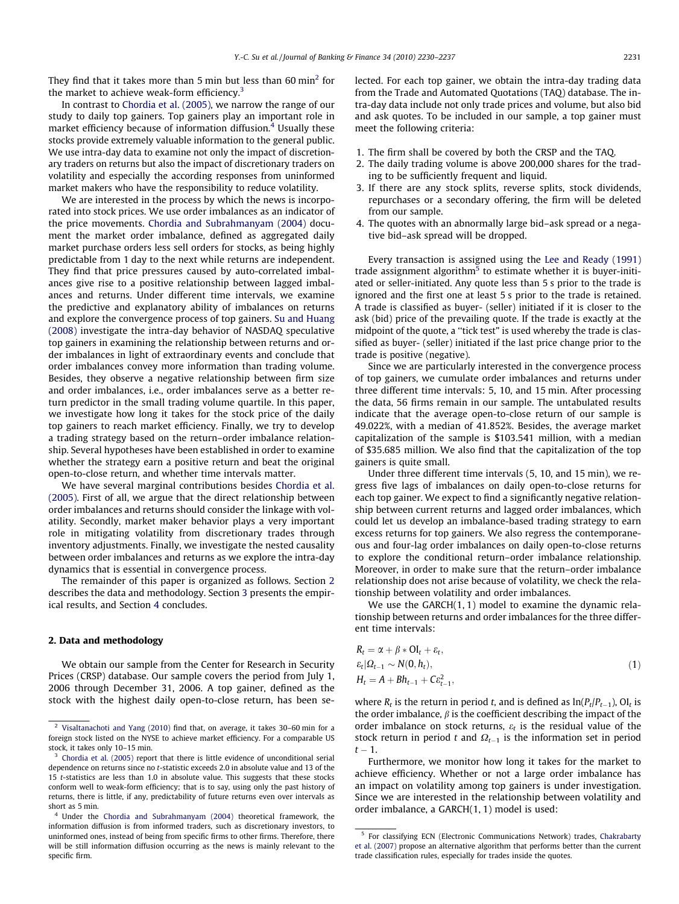They find that it takes more than 5 min but less than 60 min<sup>2</sup> for the market to achieve weak-form efficiency.<sup>3</sup>

In contrast to [Chordia et al. \(2005\),](#page--1-0) we narrow the range of our study to daily top gainers. Top gainers play an important role in market efficiency because of information diffusion.<sup>4</sup> Usually these stocks provide extremely valuable information to the general public. We use intra-day data to examine not only the impact of discretionary traders on returns but also the impact of discretionary traders on volatility and especially the according responses from uninformed market makers who have the responsibility to reduce volatility.

We are interested in the process by which the news is incorporated into stock prices. We use order imbalances as an indicator of the price movements. [Chordia and Subrahmanyam \(2004\)](#page--1-0) document the market order imbalance, defined as aggregated daily market purchase orders less sell orders for stocks, as being highly predictable from 1 day to the next while returns are independent. They find that price pressures caused by auto-correlated imbalances give rise to a positive relationship between lagged imbalances and returns. Under different time intervals, we examine the predictive and explanatory ability of imbalances on returns and explore the convergence process of top gainers. [Su and Huang](#page--1-0) [\(2008\)](#page--1-0) investigate the intra-day behavior of NASDAQ speculative top gainers in examining the relationship between returns and order imbalances in light of extraordinary events and conclude that order imbalances convey more information than trading volume. Besides, they observe a negative relationship between firm size and order imbalances, i.e., order imbalances serve as a better return predictor in the small trading volume quartile. In this paper, we investigate how long it takes for the stock price of the daily top gainers to reach market efficiency. Finally, we try to develop a trading strategy based on the return–order imbalance relationship. Several hypotheses have been established in order to examine whether the strategy earn a positive return and beat the original open-to-close return, and whether time intervals matter.

We have several marginal contributions besides [Chordia et al.](#page--1-0) [\(2005\)](#page--1-0). First of all, we argue that the direct relationship between order imbalances and returns should consider the linkage with volatility. Secondly, market maker behavior plays a very important role in mitigating volatility from discretionary trades through inventory adjustments. Finally, we investigate the nested causality between order imbalances and returns as we explore the intra-day dynamics that is essential in convergence process.

The remainder of this paper is organized as follows. Section 2 describes the data and methodology. Section [3](#page--1-0) presents the empirical results, and Section [4](#page--1-0) concludes.

#### 2. Data and methodology

We obtain our sample from the Center for Research in Security Prices (CRSP) database. Our sample covers the period from July 1, 2006 through December 31, 2006. A top gainer, defined as the stock with the highest daily open-to-close return, has been selected. For each top gainer, we obtain the intra-day trading data from the Trade and Automated Quotations (TAQ) database. The intra-day data include not only trade prices and volume, but also bid and ask quotes. To be included in our sample, a top gainer must meet the following criteria:

- 1. The firm shall be covered by both the CRSP and the TAQ.
- 2. The daily trading volume is above 200,000 shares for the trading to be sufficiently frequent and liquid.
- 3. If there are any stock splits, reverse splits, stock dividends, repurchases or a secondary offering, the firm will be deleted from our sample.
- 4. The quotes with an abnormally large bid–ask spread or a negative bid–ask spread will be dropped.

Every transaction is assigned using the [Lee and Ready \(1991\)](#page--1-0) trade assignment algorithm<sup>5</sup> to estimate whether it is buyer-initiated or seller-initiated. Any quote less than 5 s prior to the trade is ignored and the first one at least 5 s prior to the trade is retained. A trade is classified as buyer- (seller) initiated if it is closer to the ask (bid) price of the prevailing quote. If the trade is exactly at the midpoint of the quote, a ''tick test" is used whereby the trade is classified as buyer- (seller) initiated if the last price change prior to the trade is positive (negative).

Since we are particularly interested in the convergence process of top gainers, we cumulate order imbalances and returns under three different time intervals: 5, 10, and 15 min. After processing the data, 56 firms remain in our sample. The untabulated results indicate that the average open-to-close return of our sample is 49.022%, with a median of 41.852%. Besides, the average market capitalization of the sample is \$103.541 million, with a median of \$35.685 million. We also find that the capitalization of the top gainers is quite small.

Under three different time intervals (5, 10, and 15 min), we regress five lags of imbalances on daily open-to-close returns for each top gainer. We expect to find a significantly negative relationship between current returns and lagged order imbalances, which could let us develop an imbalance-based trading strategy to earn excess returns for top gainers. We also regress the contemporaneous and four-lag order imbalances on daily open-to-close returns to explore the conditional return–order imbalance relationship. Moreover, in order to make sure that the return–order imbalance relationship does not arise because of volatility, we check the relationship between volatility and order imbalances.

We use the GARCH(1, 1) model to examine the dynamic relationship between returns and order imbalances for the three different time intervals:

$$
R_t = \alpha + \beta * \mathbf{Ol}_t + \varepsilon_t,
$$
  
\n
$$
\varepsilon_t | \Omega_{t-1} \sim N(0, h_t),
$$
  
\n
$$
H_t = A + Bh_{t-1} + C\varepsilon_{t-1}^2,
$$
\n(1)

where  $R_t$  is the return in period t, and is defined as  $\ln(P_t/P_{t-1})$ , OI<sub>t</sub> is the order imbalance,  $\beta$  is the coefficient describing the impact of the order imbalance on stock returns,  $\varepsilon_t$  is the residual value of the stock return in period t and  $\Omega_{t-1}$  is the information set in period  $t - 1$ .

Furthermore, we monitor how long it takes for the market to achieve efficiency. Whether or not a large order imbalance has an impact on volatility among top gainers is under investigation. Since we are interested in the relationship between volatility and order imbalance, a GARCH(1, 1) model is used:

[Visaltanachoti and Yang \(2010\)](#page--1-0) find that, on average, it takes 30-60 min for a foreign stock listed on the NYSE to achieve market efficiency. For a comparable US stock, it takes only 10–15 min.

<sup>3</sup> [Chordia et al. \(2005\)](#page--1-0) report that there is little evidence of unconditional serial dependence on returns since no t-statistic exceeds 2.0 in absolute value and 13 of the 15 t-statistics are less than 1.0 in absolute value. This suggests that these stocks conform well to weak-form efficiency; that is to say, using only the past history of returns, there is little, if any, predictability of future returns even over intervals as short as 5 min.

Under the [Chordia and Subrahmanyam \(2004\)](#page--1-0) theoretical framework, the information diffusion is from informed traders, such as discretionary investors, to uninformed ones, instead of being from specific firms to other firms. Therefore, there will be still information diffusion occurring as the news is mainly relevant to the specific firm.

<sup>5</sup> For classifying ECN (Electronic Communications Network) trades, [Chakrabarty](#page--1-0) [et al. \(2007\)](#page--1-0) propose an alternative algorithm that performs better than the current trade classification rules, especially for trades inside the quotes.